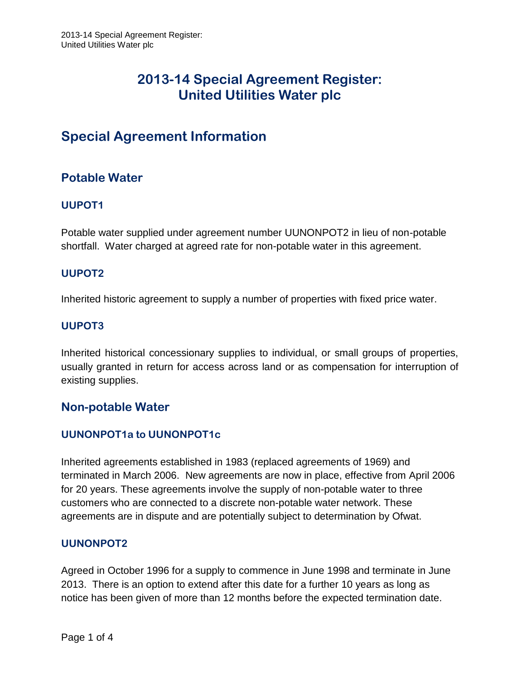# **Special Agreement Information**

# **Potable Water**

# **UUPOT1**

Potable water supplied under agreement number UUNONPOT2 in lieu of non-potable shortfall. Water charged at agreed rate for non-potable water in this agreement.

## **UUPOT2**

Inherited historic agreement to supply a number of properties with fixed price water.

## **UUPOT3**

Inherited historical concessionary supplies to individual, or small groups of properties, usually granted in return for access across land or as compensation for interruption of existing supplies.

# **Non-potable Water**

## **UUNONPOT1a to UUNONPOT1c**

Inherited agreements established in 1983 (replaced agreements of 1969) and terminated in March 2006. New agreements are now in place, effective from April 2006 for 20 years. These agreements involve the supply of non-potable water to three customers who are connected to a discrete non-potable water network. These agreements are in dispute and are potentially subject to determination by Ofwat.

## **UUNONPOT2**

Agreed in October 1996 for a supply to commence in June 1998 and terminate in June 2013. There is an option to extend after this date for a further 10 years as long as notice has been given of more than 12 months before the expected termination date.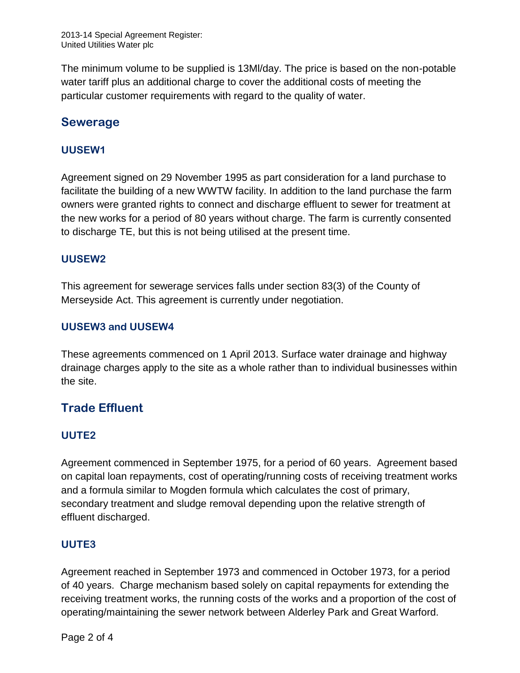The minimum volume to be supplied is 13Ml/day. The price is based on the non-potable water tariff plus an additional charge to cover the additional costs of meeting the particular customer requirements with regard to the quality of water.

# **Sewerage**

### **UUSEW1**

Agreement signed on 29 November 1995 as part consideration for a land purchase to facilitate the building of a new WWTW facility. In addition to the land purchase the farm owners were granted rights to connect and discharge effluent to sewer for treatment at the new works for a period of 80 years without charge. The farm is currently consented to discharge TE, but this is not being utilised at the present time.

#### **UUSEW2**

This agreement for sewerage services falls under section 83(3) of the County of Merseyside Act. This agreement is currently under negotiation.

### **UUSEW3 and UUSEW4**

These agreements commenced on 1 April 2013. Surface water drainage and highway drainage charges apply to the site as a whole rather than to individual businesses within the site.

# **Trade Effluent**

#### **UUTE2**

Agreement commenced in September 1975, for a period of 60 years. Agreement based on capital loan repayments, cost of operating/running costs of receiving treatment works and a formula similar to Mogden formula which calculates the cost of primary, secondary treatment and sludge removal depending upon the relative strength of effluent discharged.

#### **UUTE3**

Agreement reached in September 1973 and commenced in October 1973, for a period of 40 years. Charge mechanism based solely on capital repayments for extending the receiving treatment works, the running costs of the works and a proportion of the cost of operating/maintaining the sewer network between Alderley Park and Great Warford.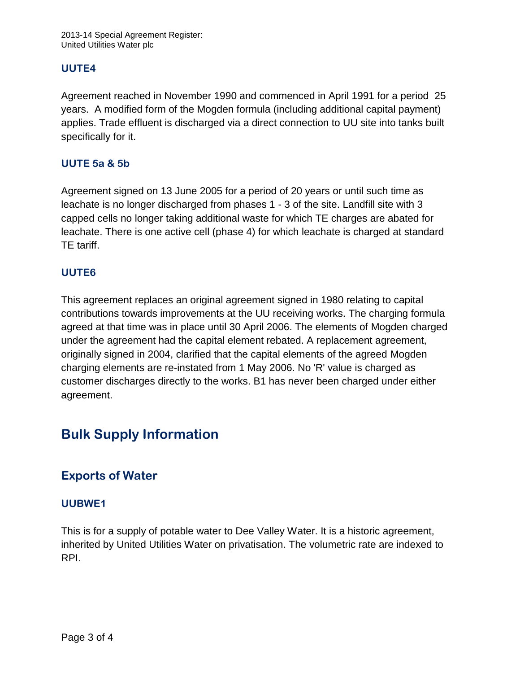#### **UUTE4**

Agreement reached in November 1990 and commenced in April 1991 for a period 25 years. A modified form of the Mogden formula (including additional capital payment) applies. Trade effluent is discharged via a direct connection to UU site into tanks built specifically for it.

### **UUTE 5a & 5b**

Agreement signed on 13 June 2005 for a period of 20 years or until such time as leachate is no longer discharged from phases 1 - 3 of the site. Landfill site with 3 capped cells no longer taking additional waste for which TE charges are abated for leachate. There is one active cell (phase 4) for which leachate is charged at standard TE tariff.

#### **UUTE6**

This agreement replaces an original agreement signed in 1980 relating to capital contributions towards improvements at the UU receiving works. The charging formula agreed at that time was in place until 30 April 2006. The elements of Mogden charged under the agreement had the capital element rebated. A replacement agreement, originally signed in 2004, clarified that the capital elements of the agreed Mogden charging elements are re-instated from 1 May 2006. No 'R' value is charged as customer discharges directly to the works. B1 has never been charged under either agreement.

# **Bulk Supply Information**

# **Exports of Water**

#### **UUBWE1**

This is for a supply of potable water to Dee Valley Water. It is a historic agreement, inherited by United Utilities Water on privatisation. The volumetric rate are indexed to RPI.